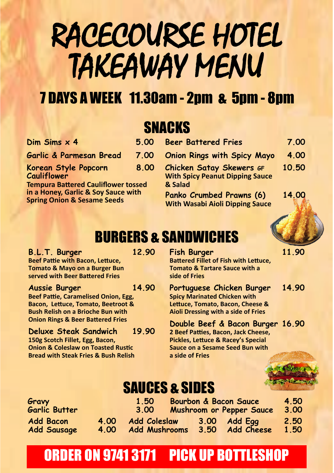# RACECOURSE HOTEL TAKEAWAY MENU

# 7 DAYS A WEEK 11.30am - 2pm & 5pm - 8pm

#### SNACKS

| Dim Sims $\times$ 4                                                                                                         | 5.00                                                                   | <b>Beer Battered Fries</b>                                                |
|-----------------------------------------------------------------------------------------------------------------------------|------------------------------------------------------------------------|---------------------------------------------------------------------------|
| Garlic & Parmesan Bread                                                                                                     | 7.00                                                                   | <b>Onion Rings with Spicy Mayo</b>                                        |
| Korean Style Popcorn<br><b>Cauliflower</b>                                                                                  | 8.00                                                                   | <b>Chicken Satay Skewers GF</b><br><b>With Spicy Peanut Dipping Sauce</b> |
| <b>Tempura Battered Cauliflower tossed</b><br>in a Honey, Garlic & Soy Sauce with<br><b>Spring Onion &amp; Sesame Seeds</b> | & Salad<br>Panko Crumbed Prawns (6)<br>With Wasahi Aioli Dinning Sauco |                                                                           |

| Dim Sims $\times$ 4                                                               | 5.00 | <b>Beer Battered Fries</b>                                                           | 7.00  |
|-----------------------------------------------------------------------------------|------|--------------------------------------------------------------------------------------|-------|
| Garlic & Parmesan Bread                                                           | 7.00 | <b>Onion Rings with Spicy Mayo</b>                                                   | 4.00  |
| Korean Style Popcorn<br>Cauliflower<br><b>Tempura Battered Cauliflower tossed</b> | 8.00 | <b>Chicken Satay Skewers GF</b><br><b>With Spicy Peanut Dipping Sauce</b><br>& Salad | 10.50 |
| in a Honey, Garlic & Soy Sauce with<br><b>Spring Onion &amp; Sesame Seeds</b>     |      | Panko Crumbed Prawns (6)<br><b>With Wasabi Aioli Dipping Sauce</b>                   | 14.00 |

# BURGERS & SANDWICHES

**B.L.T. Burger 12.90 Beef Pattie with Bacon, Lettuce, Tomato & Mayo on a Burger Bun served with Beer Battered Fries**

#### **Aussie Burger 14.90**

**Beef Pattie, Caramelised Onion, Egg, Bacon, Lettuce, Tomato, Beetroot & Bush Relish on a Brioche Bun with Onion Rings & Beer Battered Fries** 

**Deluxe Steak Sandwich 19.90 150g Scotch Fillet, Egg, Bacon, Onion & Coleslaw on Toasted Rustic Bread with Steak Fries & Bush Relish**

**Fish Burger 11.90 Battered Fillet of Fish with Lettuce, Tomato & Tartare Sauce with a side of Fries**

**Portuguese Chicken Burger 14.90 Spicy Marinated Chicken with Lettuce, Tomato, Bacon, Cheese & Aioli Dressing with a side of Fries**

**Double Beef & Bacon Burger 16.90 2 Beef Patties, Bacon, Jack Cheese, Pickles, Lettuce & Racey's Special Sauce on a Sesame Seed Bun with a side of Fries**



## SAUCES & SIDES

| Gravy<br>Garlic Butter |      | 1.50<br>3.00         | <b>Bourbon &amp; Bacon Sauce</b><br>Mushroom or Pepper Sauce | 4.50<br>3.00 |
|------------------------|------|----------------------|--------------------------------------------------------------|--------------|
| <b>Add Bacon</b>       | 4.00 | <b>Add Coleslaw</b>  | $3.00$ Add Egg                                               | 2.50         |
| <b>Add Sausage</b>     | 4.00 | <b>Add Mushrooms</b> | 3.50 Add Cheese                                              | 1.50         |

## ORDER ON 9741 3171 PICK UP BOTTLESHOP